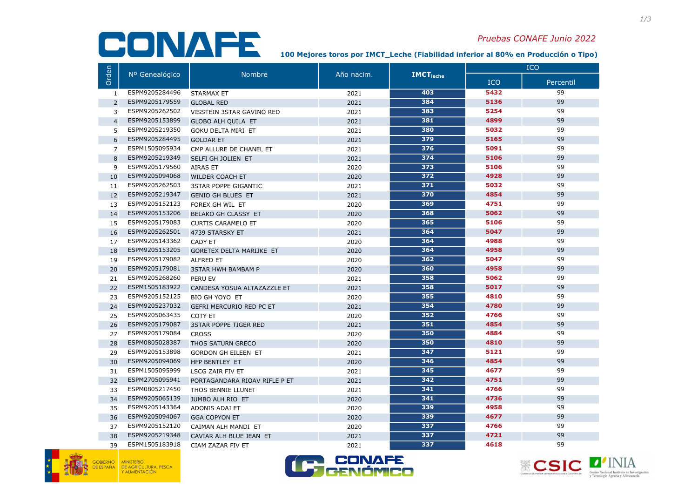## CONAFE

## Pruebas CONAFE Junio 2022

100 Mejores toros por IM€T\_Leche (Fiabilidad inferior al 80% en Producción o Tipo)

|                | Nº Genealógico | <b>Nombre</b>                   | Año nacim. | <b>IMCT</b> <sub>leche</sub> | <b>ICO</b> |           |
|----------------|----------------|---------------------------------|------------|------------------------------|------------|-----------|
| Orden          |                |                                 |            |                              | <b>ICO</b> | Percentil |
| 1              | ESPM9205284496 | <b>STARMAX ET</b>               | 2021       | 403                          | 5432       | 99        |
| $\overline{2}$ | ESPM9205179559 | <b>GLOBAL RED</b>               | 2021       | 384                          | 5136       | 99        |
| 3              | ESPM9205262502 | VISSTEIN 3STAR GAVINO RED       | 2021       | 383                          | 5254       | 99        |
| $\overline{4}$ | ESPM9205153899 | <b>GLOBO ALH QUILA ET</b>       | 2021       | 381                          | 4899       | 99        |
| 5              | ESPM9205219350 | <b>GOKU DELTA MIRI ET</b>       | 2021       | 380                          | 5032       | 99        |
| 6              | ESPM9205284495 | <b>GOLDAR ET</b>                | 2021       | 379                          | 5165       | 99        |
| $\overline{7}$ | ESPM1505095934 | CMP ALLURE DE CHANEL ET         | 2021       | 376                          | 5091       | 99        |
| 8              | ESPM9205219349 | SELFI GH JOLIEN ET              | 2021       | 374                          | 5106       | 99        |
| 9              | ESPM9205179560 | <b>AIRAS ET</b>                 | 2020       | 373                          | 5106       | 99        |
| 10             | ESPM9205094068 | <b>WILDER COACH ET</b>          | 2020       | 372                          | 4928       | 99        |
| 11             | ESPM9205262503 | <b>3STAR POPPE GIGANTIC</b>     | 2021       | 371                          | 5032       | 99        |
| 12             | ESPM9205219347 | <b>GENIO GH BLUES ET</b>        | 2021       | 370                          | 4854       | 99        |
| 13             | ESPM9205152123 | FOREX GH WIL ET                 | 2020       | 369                          | 4751       | 99        |
| 14             | ESPM9205153206 | <b>BELAKO GH CLASSY ET</b>      | 2020       | 368                          | 5062       | 99        |
| 15             | ESPM9205179083 | <b>CURTIS CARAMELO ET</b>       | 2020       | 365                          | 5106       | 99        |
| 16             | ESPM9205262501 | 4739 STARSKY ET                 | 2021       | 364                          | 5047       | 99        |
| 17             | ESPM9205143362 | <b>CADY ET</b>                  | 2020       | 364                          | 4988       | 99        |
| 18             | ESPM9205153205 | <b>GORETEX DELTA MARIJKE ET</b> | 2020       | 364                          | 4958       | 99        |
| 19             | ESPM9205179082 | <b>ALFRED ET</b>                | 2020       | 362                          | 5047       | 99        |
| 20             | ESPM9205179081 | <b>3STAR HWH BAMBAM P</b>       | 2020       | 360                          | 4958       | 99        |
| 21             | ESPM9205268260 | PERU EV                         | 2021       | 358                          | 5062       | 99        |
| 22             | ESPM1505183922 | CANDESA YOSUA ALTAZAZZLE ET     | 2021       | 358                          | 5017       | 99        |
| 23             | ESPM9205152125 | BIO GH YOYO ET                  | 2020       | 355                          | 4810       | 99        |
| 24             | ESPM9205237032 | GEFRI MERCURIO RED PC ET        | 2021       | 354                          | 4780       | 99        |
| 25             | ESPM9205063435 | COTY ET                         | 2020       | 352                          | 4766       | 99        |
| 26             | ESPM9205179087 | <b>3STAR POPPE TIGER RED</b>    | 2021       | 351                          | 4854       | 99        |
| 27             | ESPM9205179084 | <b>CROSS</b>                    | 2020       | 350                          | 4884       | 99        |
| 28             | ESPM0805028387 | THOS SATURN GRECO               | 2020       | 350                          | 4810       | 99        |
| 29             | ESPM9205153898 | <b>GORDON GH EILEEN ET</b>      | 2021       | $\overline{347}$             | 5121       | 99        |
| 30             | ESPM9205094069 | HFP BENTLEY ET                  | 2020       | 346                          | 4854       | 99        |
| 31             | ESPM1505095999 | <b>LSCG ZAIR FIV ET</b>         | 2021       | 345                          | 4677       | 99        |
| 32             | ESPM2705095941 | PORTAGANDARA RIOAV RIFLE P ET   | 2021       | 342                          | 4751       | 99        |
| 33             | ESPM0805217450 | THOS BENNIE LLUNET              | 2021       | 341                          | 4766       | 99        |
| 34             | ESPM9205065139 | <b>JUMBO ALH RIO ET</b>         | 2020       | 341                          | 4736       | 99        |
| 35             | ESPM9205143364 | ADONIS ADAI ET                  | 2020       | 339                          | 4958       | 99        |
| 36             | ESPM9205094067 | <b>GGA COPYON ET</b>            | 2020       | 339                          | 4677       | 99        |
| 37             | ESPM9205152120 | CAIMAN ALH MANDI ET             | 2020       | $\overline{337}$             | 4766       | 99        |
| 38             | ESPM9205219348 | CAVIAR ALH BLUE JEAN ET         | 2021       | 337                          | 4721       | 99        |
| 39             | ESPM1505183918 | CIAM ZAZAR FIV ET               | 2021       | 337                          | 4618       | 99        |





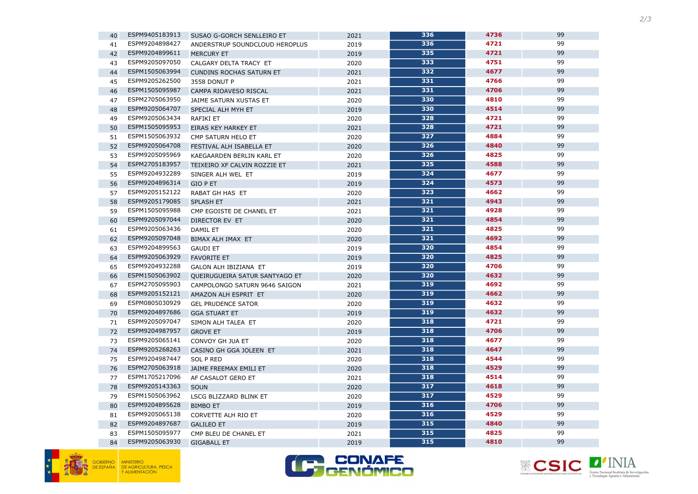





| 40 | ESPM9405183913 | SUSAO G-GORCH SENLLEIRO ET      | 2021 | 336 | 4736 | 99 |
|----|----------------|---------------------------------|------|-----|------|----|
| 41 | ESPM9204898427 | ANDERSTRUP SOUNDCLOUD HEROPLUS  | 2019 | 336 | 4721 | 99 |
| 42 | ESPM9204899611 | <b>MERCURY ET</b>               | 2019 | 335 | 4721 | 99 |
| 43 | ESPM9205097050 | CALGARY DELTA TRACY ET          | 2020 | 333 | 4751 | 99 |
| 44 | ESPM1505063994 | <b>CUNDINS ROCHAS SATURN ET</b> | 2021 | 332 | 4677 | 99 |
| 45 | ESPM9205262500 | 3558 DONUT P                    | 2021 | 331 | 4766 | 99 |
| 46 | ESPM1505095987 | CAMPA RIOAVESO RISCAL           | 2021 | 331 | 4706 | 99 |
| 47 | ESPM2705063950 | JAIME SATURN XUSTAS ET          | 2020 | 330 | 4810 | 99 |
| 48 | ESPM9205064707 | SPECIAL ALH MYH ET              | 2019 | 330 | 4514 | 99 |
| 49 | ESPM9205063434 | RAFIKI ET                       | 2020 | 328 | 4721 | 99 |
| 50 | ESPM1505095953 | EIRAS KEY HARKEY ET             | 2021 | 328 | 4721 | 99 |
| 51 | ESPM1505063932 | CMP SATURN HELO ET              | 2020 | 327 | 4884 | 99 |
| 52 | ESPM9205064708 | FESTIVAL ALH ISABELLA ET        | 2020 | 326 | 4840 | 99 |
| 53 | ESPM9205095969 | KAEGAARDEN BERLIN KARL ET       | 2020 | 326 | 4825 | 99 |
| 54 | ESPM2705183957 | TEIXEIRO XF CALVIN ROZZIE ET    | 2021 | 325 | 4588 | 99 |
| 55 | ESPM9204932289 | SINGER ALH WEL ET               | 2019 | 324 | 4677 | 99 |
| 56 | ESPM9204896314 | <b>GIO P ET</b>                 | 2019 | 324 | 4573 | 99 |
| 57 | ESPM9205152122 | RABAT GH HAS ET                 | 2020 | 323 | 4662 | 99 |
| 58 | ESPM9205179085 | <b>SPLASH ET</b>                | 2021 | 321 | 4943 | 99 |
| 59 | ESPM1505095988 | CMP EGOISTE DE CHANEL ET        | 2021 | 321 | 4928 | 99 |
| 60 | ESPM9205097044 | <b>DIRECTOR EV ET</b>           | 2020 | 321 | 4854 | 99 |
| 61 | ESPM9205063436 | DAMIL ET                        | 2020 | 321 | 4825 | 99 |
| 62 | ESPM9205097048 | BIMAX ALH IMAX ET               | 2020 | 321 | 4692 | 99 |
| 63 | ESPM9204899563 | <b>GAUDI ET</b>                 | 2019 | 320 | 4854 | 99 |
| 64 | ESPM9205063929 | <b>FAVORITE ET</b>              | 2019 | 320 | 4825 | 99 |
| 65 | ESPM9204932288 | GALON ALH IBIZIANA ET           | 2019 | 320 | 4706 | 99 |
| 66 | ESPM1505063902 | QUEIRUGUEIRA SATUR SANTYAGO ET  | 2020 | 320 | 4632 | 99 |
| 67 | ESPM2705095903 | CAMPOLONGO SATURN 9646 SAIGON   | 2021 | 319 | 4692 | 99 |
| 68 | ESPM9205152121 | AMAZON ALH ESPRIT ET            | 2020 | 319 | 4662 | 99 |
| 69 | ESPM0805030929 | <b>GEL PRUDENCE SATOR</b>       | 2020 | 319 | 4632 | 99 |
| 70 | ESPM9204897686 | <b>GGA STUART ET</b>            | 2019 | 319 | 4632 | 99 |
| 71 | ESPM9205097047 | SIMON ALH TALEA ET              | 2020 | 318 | 4721 | 99 |
| 72 | ESPM9204987957 | <b>GROVE ET</b>                 | 2019 | 318 | 4706 | 99 |
| 73 | ESPM9205065141 | CONVOY GH JUA ET                | 2020 | 318 | 4677 | 99 |
| 74 | ESPM9205268263 | CASINO GH GGA JOLEEN ET         | 2021 | 318 | 4647 | 99 |
| 75 | ESPM9204987447 | <b>SOL P RED</b>                | 2020 | 318 | 4544 | 99 |
| 76 | ESPM2705063918 | JAIME FREEMAX EMILI ET          | 2020 | 318 | 4529 | 99 |
| 77 | ESPM1705217096 | AF CASALOT GERO ET              | 2021 | 318 | 4514 | 99 |
| 78 | ESPM9205143363 | <b>SOUN</b>                     | 2020 | 317 | 4618 | 99 |
| 79 | ESPM1505063962 | LSCG BLIZZARD BLINK ET          | 2020 | 317 | 4529 | 99 |
| 80 | ESPM9204895628 | <b>BIMBO ET</b>                 | 2019 | 316 | 4706 | 99 |
| 81 | ESPM9205065138 | CORVETTE ALH RIO ET             | 2020 | 316 | 4529 | 99 |
| 82 | ESPM9204897687 | <b>GALILEO ET</b>               | 2019 | 315 | 4840 | 99 |
| 83 | ESPM1505095977 | CMP BLEU DE CHANEL ET           | 2021 | 315 | 4825 | 99 |
| 84 | ESPM9205063930 | <b>GIGABALL ET</b>              | 2019 | 315 | 4810 | 99 |